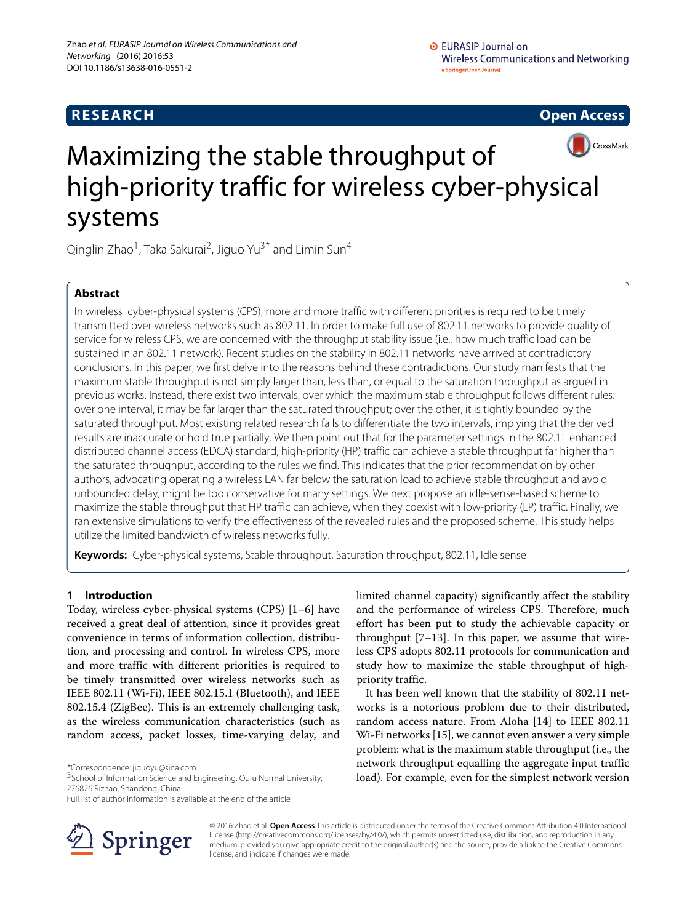



# Maximizing the stable throughput of high-priority traffic for wireless cyber-physical systems

Qinglin Zhao<sup>1</sup>, Taka Sakurai<sup>2</sup>, Jiguo Yu<sup>3\*</sup> and Limin Sun<sup>4</sup>

# **Abstract**

In wireless cyber-physical systems (CPS), more and more traffic with different priorities is required to be timely transmitted over wireless networks such as 802.11. In order to make full use of 802.11 networks to provide quality of service for wireless CPS, we are concerned with the throughput stability issue (i.e., how much traffic load can be sustained in an 802.11 network). Recent studies on the stability in 802.11 networks have arrived at contradictory conclusions. In this paper, we first delve into the reasons behind these contradictions. Our study manifests that the maximum stable throughput is not simply larger than, less than, or equal to the saturation throughput as argued in previous works. Instead, there exist two intervals, over which the maximum stable throughput follows different rules: over one interval, it may be far larger than the saturated throughput; over the other, it is tightly bounded by the saturated throughput. Most existing related research fails to differentiate the two intervals, implying that the derived results are inaccurate or hold true partially. We then point out that for the parameter settings in the 802.11 enhanced distributed channel access (EDCA) standard, high-priority (HP) traffic can achieve a stable throughput far higher than the saturated throughput, according to the rules we find. This indicates that the prior recommendation by other authors, advocating operating a wireless LAN far below the saturation load to achieve stable throughput and avoid unbounded delay, might be too conservative for many settings. We next propose an idle-sense-based scheme to maximize the stable throughput that HP traffic can achieve, when they coexist with low-priority (LP) traffic. Finally, we ran extensive simulations to verify the effectiveness of the revealed rules and the proposed scheme. This study helps utilize the limited bandwidth of wireless networks fully.

**Keywords:** Cyber-physical systems, Stable throughput, Saturation throughput, 802.11, Idle sense

# **1 Introduction**

Today, wireless cyber-physical systems (CPS) [\[1](#page-10-0)[–6\]](#page-10-1) have received a great deal of attention, since it provides great convenience in terms of information collection, distribution, and processing and control. In wireless CPS, more and more traffic with different priorities is required to be timely transmitted over wireless networks such as IEEE 802.11 (Wi-Fi), IEEE 802.15.1 (Bluetooth), and IEEE 802.15.4 (ZigBee). This is an extremely challenging task, as the wireless communication characteristics (such as random access, packet losses, time-varying delay, and

\*Correspondence: [jiguoyu@sina.com](mailto: jiguoyu@sina.com)

Full list of author information is available at the end of the article



limited channel capacity) significantly affect the stability and the performance of wireless CPS. Therefore, much effort has been put to study the achievable capacity or throughput [\[7–](#page-10-2)[13\]](#page-10-3). In this paper, we assume that wireless CPS adopts 802.11 protocols for communication and study how to maximize the stable throughput of highpriority traffic.

It has been well known that the stability of 802.11 networks is a notorious problem due to their distributed, random access nature. From Aloha [\[14\]](#page-10-4) to IEEE 802.11 Wi-Fi networks [\[15\]](#page-10-5), we cannot even answer a very simple problem: what is the maximum stable throughput (i.e., the network throughput equalling the aggregate input traffic load). For example, even for the simplest network version

© 2016 Zhao et al. **Open Access** This article is distributed under the terms of the Creative Commons Attribution 4.0 International License [\(http://creativecommons.org/licenses/by/4.0/\)](http://creativecommons.org/licenses/by/4.0/), which permits unrestricted use, distribution, and reproduction in any medium, provided you give appropriate credit to the original author(s) and the source, provide a link to the Creative Commons license, and indicate if changes were made.

<sup>3</sup>School of Information Science and Engineering, Qufu Normal University, 276826 Rizhao, Shandong, China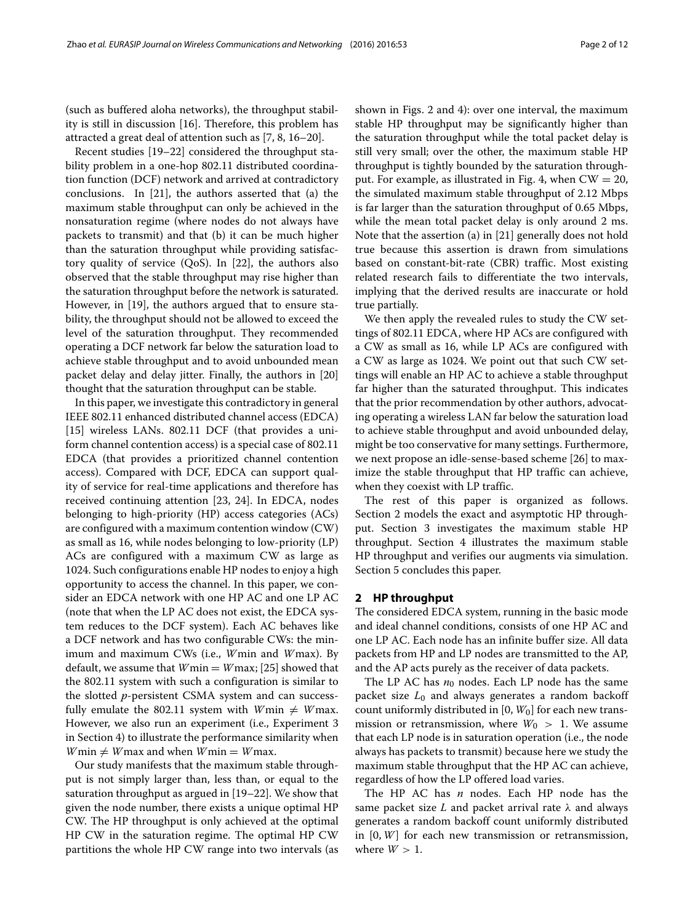(such as buffered aloha networks), the throughput stability is still in discussion [\[16\]](#page-10-6). Therefore, this problem has attracted a great deal of attention such as [\[7,](#page-10-2) [8,](#page-10-7) [16–](#page-10-6)[20\]](#page-10-8).

Recent studies [\[19–](#page-10-9)[22\]](#page-10-10) considered the throughput stability problem in a one-hop 802.11 distributed coordination function (DCF) network and arrived at contradictory conclusions. In [\[21\]](#page-10-11), the authors asserted that (a) the maximum stable throughput can only be achieved in the nonsaturation regime (where nodes do not always have packets to transmit) and that (b) it can be much higher than the saturation throughput while providing satisfactory quality of service (QoS). In [\[22\]](#page-10-10), the authors also observed that the stable throughput may rise higher than the saturation throughput before the network is saturated. However, in [\[19\]](#page-10-9), the authors argued that to ensure stability, the throughput should not be allowed to exceed the level of the saturation throughput. They recommended operating a DCF network far below the saturation load to achieve stable throughput and to avoid unbounded mean packet delay and delay jitter. Finally, the authors in [\[20\]](#page-10-8) thought that the saturation throughput can be stable.

In this paper, we investigate this contradictory in general IEEE 802.11 enhanced distributed channel access (EDCA) [\[15\]](#page-10-5) wireless LANs. 802.11 DCF (that provides a uniform channel contention access) is a special case of 802.11 EDCA (that provides a prioritized channel contention access). Compared with DCF, EDCA can support quality of service for real-time applications and therefore has received continuing attention [\[23,](#page-10-12) [24\]](#page-11-0). In EDCA, nodes belonging to high-priority (HP) access categories (ACs) are configured with a maximum contention window (CW) as small as 16, while nodes belonging to low-priority (LP) ACs are configured with a maximum CW as large as 1024. Such configurations enable HP nodes to enjoy a high opportunity to access the channel. In this paper, we consider an EDCA network with one HP AC and one LP AC (note that when the LP AC does not exist, the EDCA system reduces to the DCF system). Each AC behaves like a DCF network and has two configurable CWs: the minimum and maximum CWs (i.e., *W*min and *W*max). By default, we assume that *W*min = *W*max; [\[25\]](#page-11-1) showed that the 802.11 system with such a configuration is similar to the slotted *p*-persistent CSMA system and can successfully emulate the 802.11 system with  $W$ min  $\neq$   $W$ max. However, we also run an experiment (i.e., Experiment 3 in Section [4\)](#page-5-0) to illustrate the performance similarity when  $W$ min  $\neq$  *W* max and when  $W$ min  $=$  *W* max.

Our study manifests that the maximum stable throughput is not simply larger than, less than, or equal to the saturation throughput as argued in [\[19–](#page-10-9)[22\]](#page-10-10). We show that given the node number, there exists a unique optimal HP CW. The HP throughput is only achieved at the optimal HP CW in the saturation regime. The optimal HP CW partitions the whole HP CW range into two intervals (as shown in Figs. [2](#page-4-0) and [4\)](#page-7-0): over one interval, the maximum stable HP throughput may be significantly higher than the saturation throughput while the total packet delay is still very small; over the other, the maximum stable HP throughput is tightly bounded by the saturation through-put. For example, as illustrated in Fig. [4,](#page-7-0) when  $CW = 20$ , the simulated maximum stable throughput of 2.12 Mbps is far larger than the saturation throughput of 0.65 Mbps, while the mean total packet delay is only around 2 ms. Note that the assertion (a) in [\[21\]](#page-10-11) generally does not hold true because this assertion is drawn from simulations based on constant-bit-rate (CBR) traffic. Most existing related research fails to differentiate the two intervals, implying that the derived results are inaccurate or hold true partially.

We then apply the revealed rules to study the CW settings of 802.11 EDCA, where HP ACs are configured with a CW as small as 16, while LP ACs are configured with a CW as large as 1024. We point out that such CW settings will enable an HP AC to achieve a stable throughput far higher than the saturated throughput. This indicates that the prior recommendation by other authors, advocating operating a wireless LAN far below the saturation load to achieve stable throughput and avoid unbounded delay, might be too conservative for many settings. Furthermore, we next propose an idle-sense-based scheme [\[26\]](#page-11-2) to maximize the stable throughput that HP traffic can achieve, when they coexist with LP traffic.

The rest of this paper is organized as follows. Section [2](#page-1-0) models the exact and asymptotic HP throughput. Section [3](#page-2-0) investigates the maximum stable HP throughput. Section [4](#page-5-0) illustrates the maximum stable HP throughput and verifies our augments via simulation. Section [5](#page-8-0) concludes this paper.

#### <span id="page-1-0"></span>**2 HP throughput**

The considered EDCA system, running in the basic mode and ideal channel conditions, consists of one HP AC and one LP AC. Each node has an infinite buffer size. All data packets from HP and LP nodes are transmitted to the AP, and the AP acts purely as the receiver of data packets.

The LP AC has  $n_0$  nodes. Each LP node has the same packet size *L*<sup>0</sup> and always generates a random backoff count uniformly distributed in [0,  $W_0$ ] for each new transmission or retransmission, where  $W_0 > 1$ . We assume that each LP node is in saturation operation (i.e., the node always has packets to transmit) because here we study the maximum stable throughput that the HP AC can achieve, regardless of how the LP offered load varies.

The HP AC has *n* nodes. Each HP node has the same packet size *L* and packet arrival rate λ and always generates a random backoff count uniformly distributed in [0, *W*] for each new transmission or retransmission, where  $W > 1$ .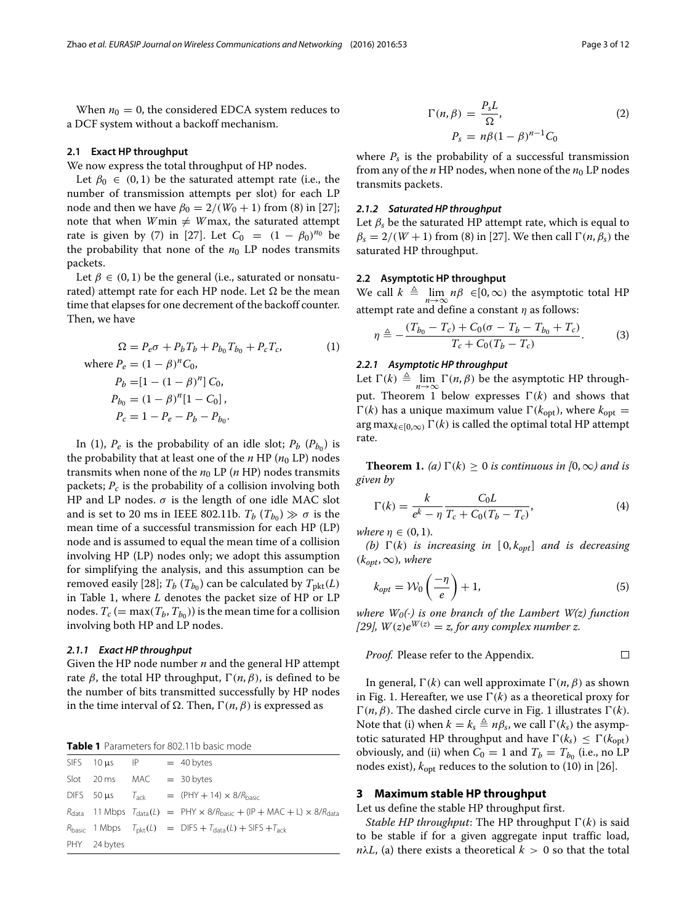When  $n_0 = 0$ , the considered EDCA system reduces to a DCF system without a backoff mechanism.

#### **2.1 Exact HP throughput**

We now express the total throughput of HP nodes.

Let  $\beta_0 \in (0,1)$  be the saturated attempt rate (i.e., the number of transmission attempts per slot) for each LP node and then we have  $β_0 = 2/(W_0 + 1)$  from (8) in [\[27\]](#page-11-3); note that when  $W$ min  $\neq$   $W$ max, the saturated attempt rate is given by (7) in [\[27\]](#page-11-3). Let  $C_0 = (1 - \beta_0)^{n_0}$  be the probability that none of the  $n_0$  LP nodes transmits packets.

Let  $\beta \in (0, 1)$  be the general (i.e., saturated or nonsaturated) attempt rate for each HP node. Let  $\Omega$  be the mean time that elapses for one decrement of the backoff counter. Then, we have

$$
\Omega = P_e \sigma + P_b T_b + P_{b_0} T_{b_0} + P_c T_c,
$$
\nwhere  $P_e = (1 - \beta)^n C_0$ ,  
\n $P_b = [1 - (1 - \beta)^n] C_0$ ,  
\n $P_{b_0} = (1 - \beta)^n [1 - C_0]$ ,  
\n $P_c = 1 - P_e - P_b - P_{b_0}$ .

In [\(1\)](#page-2-1),  $P_e$  is the probability of an idle slot;  $P_b$  ( $P_{b_0}$ ) is the probability that at least one of the  $n$  HP ( $n_0$  LP) nodes transmits when none of the  $n_0$  LP ( $n$  HP) nodes transmits packets; *Pc* is the probability of a collision involving both HP and LP nodes.  $\sigma$  is the length of one idle MAC slot and is set to 20 ms in IEEE 802.11b.  $T_b$  ( $T_{b_0}$ )  $\gg \sigma$  is the mean time of a successful transmission for each HP (LP) node and is assumed to equal the mean time of a collision involving HP (LP) nodes only; we adopt this assumption for simplifying the analysis, and this assumption can be removed easily [\[28\]](#page-11-4);  $T_b$  ( $T_{b_0}$ ) can be calculated by  $T_{\text{plt}}(L)$ in Table [1,](#page-2-2) where *L* denotes the packet size of HP or LP nodes.  $T_c$  (= max( $T_b$ ,  $T_{b_0}$ )) is the mean time for a collision involving both HP and LP nodes.

#### *2.1.1 Exact HP throughput*

Given the HP node number *n* and the general HP attempt rate *β*, the total HP throughput,  $\Gamma$ (*n*, *β*), is defined to be the number of bits transmitted successfully by HP nodes in the time interval of  $Ω$ . Then,  $Γ(n, β)$  is expressed as

<span id="page-2-2"></span>

| Table 1 Parameters for 802.11b basic mode |  |
|-------------------------------------------|--|
|-------------------------------------------|--|

| $SIFS$ 10 $\mu s$ IP = 40 bytes |  |                                                                                                                 |
|---------------------------------|--|-----------------------------------------------------------------------------------------------------------------|
| Slot 20 ms                      |  | $MAC = 30 bytes$                                                                                                |
|                                 |  | DIFS 50 $\mu$ s $T_{ack}$ = (PHY + 14) $\times$ 8/ $R_{basic}$                                                  |
|                                 |  | $R_{data}$ 11 Mbps $T_{data}(L)$ = PHY $\times$ 8/ $R_{basic}$ + (IP + MAC + L) $\times$ 8/ $R_{data}$          |
|                                 |  | $R_{\text{basic}}$ 1 Mbps $T_{\text{nkt}}(L) = \text{DIFS} + T_{\text{data}}(L) + \text{SIFS} + T_{\text{ack}}$ |
| PHY 24 bytes                    |  |                                                                                                                 |

<span id="page-2-5"></span>
$$
\Gamma(n,\beta) = \frac{P_s L}{\Omega},
$$
\n
$$
P_s = n\beta (1 - \beta)^{n-1} C_0
$$
\n(2)

where  $P_s$  is the probability of a successful transmission from any of the  $n$  HP nodes, when none of the  $n_0$  LP nodes transmits packets.

#### *2.1.2 Saturated HP throughput*

Let  $\beta_s$  be the saturated HP attempt rate, which is equal to  $\beta_s = 2/(W+1)$  from (8) in [\[27\]](#page-11-3). We then call  $\Gamma(n, \beta_s)$  the saturated HP throughput.

#### **2.2 Asymptotic HP throughput**

We call  $k \triangleq \lim_{n \to \infty} n\beta \in [0, \infty)$  the asymptotic total HP attempt rate and define a constant  $\eta$  as follows:

$$
\eta \triangleq -\frac{(T_{b_0} - T_c) + C_0(\sigma - T_b - T_{b_0} + T_c)}{T_c + C_0(T_b - T_c)}.
$$
 (3)

#### <span id="page-2-1"></span>*2.2.1 Asymptotic HP throughput*

Let  $\Gamma(k) \triangleq \lim_{n \to \infty} \Gamma(n, \beta)$  be the asymptotic HP through-put. Theorem [1](#page-2-3) below expresses  $\Gamma(k)$  and shows that  $\Gamma(k)$  has a unique maximum value  $\Gamma(k_{opt})$ , where  $k_{opt}$  = arg max<sub>*k*∈[0,∞)</sub>  $\Gamma$ (*k*) is called the optimal total HP attempt rate.

<span id="page-2-3"></span>**Theorem 1.** *(a)*  $\Gamma(k) \ge 0$  *is continuous in*  $(0, \infty)$  *and is given by*

$$
\Gamma(k) = \frac{k}{e^k - \eta} \frac{C_0 L}{T_c + C_0 (T_b - T_c)},\tag{4}
$$

*where*  $n \in (0, 1)$ *.* 

*(b)*  $\Gamma(k)$  *is increasing in*  $[0, k_{opt}]$  *and is decreasing*  $(k_{opt}, \infty)$ *, where* 

<span id="page-2-4"></span>
$$
k_{opt} = \mathcal{W}_0\left(\frac{-\eta}{e}\right) + 1,\tag{5}
$$

*where*  $W_0(\cdot)$  *is one branch of the Lambert W(z) function [\[29\]](#page-11-5),*  $W(z)e^{W(z)} = z$ *, for any complex number z.* 

*Proof.* Please refer to the Appendix. 
$$
\Box
$$

In general,  $\Gamma$ (*k*) can well approximate  $\Gamma$ (*n*, *β*) as shown in Fig. [1.](#page-3-0) Hereafter, we use  $\Gamma(k)$  as a theoretical proxy for  $\Gamma(n, \beta)$ . The dashed circle curve in Fig. [1](#page-3-0) illustrates  $\Gamma(k)$ . Note that (i) when  $k = k_s \triangleq n\beta_s$ , we call  $\Gamma(k_s)$  the asymptotic saturated HP throughput and have  $\Gamma(k_s) \leq \Gamma(k_{\text{opt}})$ obviously, and (ii) when  $C_0 = 1$  and  $T_b = T_{b_0}$  (i.e., no LP nodes exist),  $k_{opt}$  reduces to the solution to (10) in [\[26\]](#page-11-2).

## <span id="page-2-0"></span>**3 Maximum stable HP throughput**

Let us define the stable HP throughput first.

*Stable HP throughput*: The HP throughput  $\Gamma(k)$  is said to be stable if for a given aggregate input traffic load,  $n\lambda L$ , (a) there exists a theoretical  $k > 0$  so that the total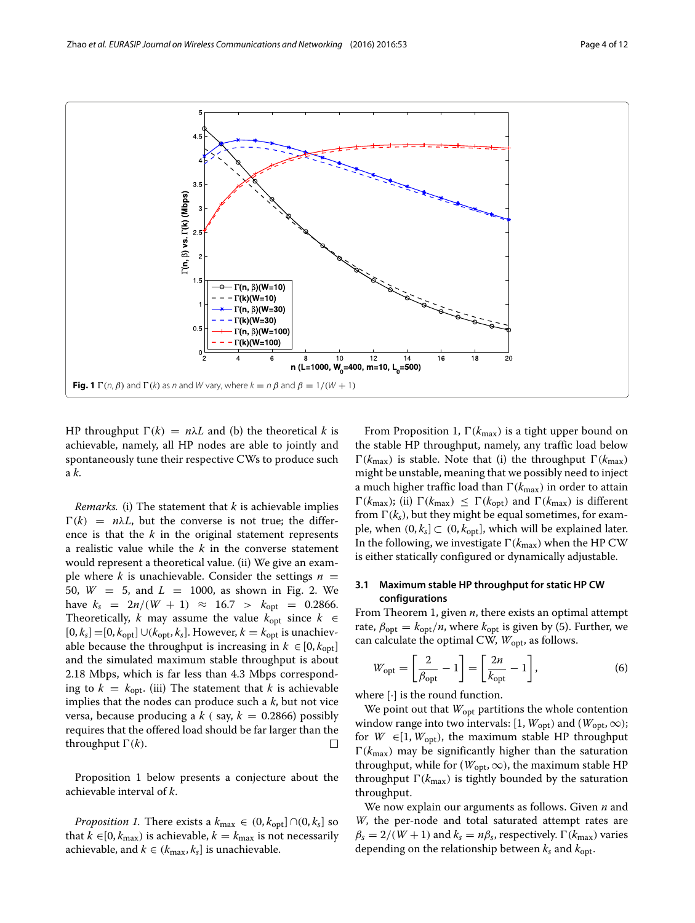<span id="page-3-0"></span>HP throughput  $\Gamma(k) = n\lambda L$  and (b) the theoretical *k* is achievable, namely, all HP nodes are able to jointly and spontaneously tune their respective CWs to produce such a *k*.

*Remarks.* (i) The statement that *k* is achievable implies  $\Gamma(k) = n\lambda L$ , but the converse is not true; the difference is that the *k* in the original statement represents a realistic value while the *k* in the converse statement would represent a theoretical value. (ii) We give an example where *k* is unachievable. Consider the settings  $n =$ 50, *W* = 5, and *L* = 1000, as shown in Fig. [2.](#page-4-0) We have  $k_s = 2n/(W + 1) \approx 16.7 > k_{opt} = 0.2866$ . Theoretically, *k* may assume the value  $k_{opt}$  since  $k \in$ [0,  $k_s$ ] =[0,  $k_{opt}$ ] ∪( $k_{opt}$ ,  $k_s$ ]. However,  $k = k_{opt}$  is unachievable because the throughput is increasing in  $k \in [0, k_{opt}]$ and the simulated maximum stable throughput is about 2.18 Mbps, which is far less than 4.3 Mbps corresponding to  $k = k_{\text{opt}}$ . (iii) The statement that k is achievable implies that the nodes can produce such a *k*, but not vice versa, because producing a  $k$  (say,  $k = 0.2866$ ) possibly requires that the offered load should be far larger than the throughput  $\Gamma(k)$ .  $\Box$ 

Proposition [1](#page-3-1) below presents a conjecture about the achievable interval of *k*.

<span id="page-3-1"></span>*Proposition 1.* There exists a  $k_{\text{max}} \in (0, k_{\text{opt}}] \cap (0, k_s]$  so that  $k \in [0, k_{\text{max}})$  is achievable,  $k = k_{\text{max}}$  is not necessarily achievable, and  $k \in (k_{\text{max}}, k_s]$  is unachievable.

From Proposition [1,](#page-3-1)  $\Gamma(k_{\text{max}})$  is a tight upper bound on the stable HP throughput, namely, any traffic load below  $\Gamma(k_{\text{max}})$  is stable. Note that (i) the throughput  $\Gamma(k_{\text{max}})$ might be unstable, meaning that we possibly need to inject a much higher traffic load than  $\Gamma(k_{\text{max}})$  in order to attain  $\Gamma(k_{\text{max}})$ ; (ii)  $\Gamma(k_{\text{max}}) \leq \Gamma(k_{\text{opt}})$  and  $\Gamma(k_{\text{max}})$  is different from  $\Gamma$ ( $k_s$ ), but they might be equal sometimes, for example, when  $(0, k_s] \subset (0, k_{opt}]$ , which will be explained later. In the following, we investigate  $\Gamma(k_{\text{max}})$  when the HP CW is either statically configured or dynamically adjustable.

### **3.1 Maximum stable HP throughput for static HP CW configurations**

From Theorem [1,](#page-2-3) given *n*, there exists an optimal attempt rate,  $\beta_{opt} = k_{opt}/n$ , where  $k_{opt}$  is given by [\(5\)](#page-2-4). Further, we can calculate the optimal CW,  $W_{\text{opt}}$ , as follows.

<span id="page-3-2"></span>
$$
W_{\rm opt} = \left[\frac{2}{\beta_{\rm opt}} - 1\right] = \left[\frac{2n}{k_{\rm opt}} - 1\right],\tag{6}
$$

where [·] is the round function.

We point out that  $W_{\text{opt}}$  partitions the whole contention window range into two intervals: [1,  $W_{\text{opt}}$ ) and ( $W_{\text{opt}}$ ,  $\infty$ ); for  $W \in [1, W_{\text{opt}})$ , the maximum stable HP throughput  $\Gamma(k_{\text{max}})$  may be significantly higher than the saturation throughput, while for ( $W_{\text{opt}}$ ,  $\infty$ ), the maximum stable HP throughput  $\Gamma(k_{\text{max}})$  is tightly bounded by the saturation throughput.

We now explain our arguments as follows. Given *n* and *W*, the per-node and total saturated attempt rates are  $\beta_s = 2/(W+1)$  and  $k_s = n\beta_s$ , respectively.  $\Gamma(k_{\text{max}})$  varies depending on the relationship between  $k_s$  and  $k_{\text{opt}}$ .

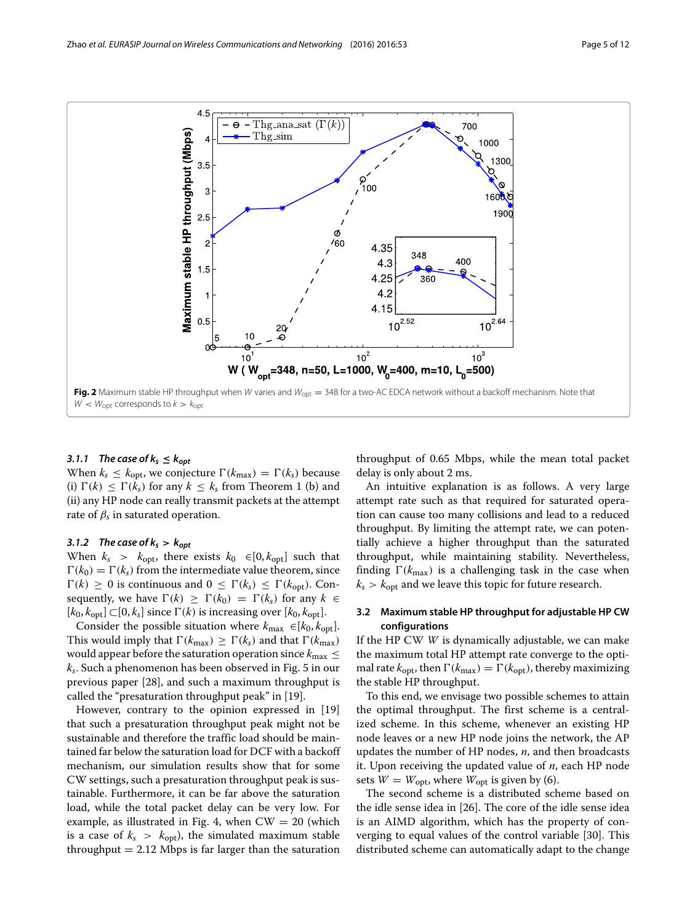

#### <span id="page-4-0"></span>3.1.1 The case of  $k_s \leq k_{opt}$

When  $k_s \leq k_{\text{opt}}$ , we conjecture  $\Gamma(k_{\text{max}}) = \Gamma(k_s)$  because (i)  $\Gamma(k) \leq \Gamma(k_s)$  for any  $k \leq k_s$  from Theorem [1](#page-2-3) (b) and (ii) any HP node can really transmit packets at the attempt rate of  $\beta_s$  in saturated operation.

### 3.1.2 The case of  $k_s > k_{opt}$

When  $k_s > k_{\text{opt}}$ , there exists  $k_0 \in [0, k_{\text{opt}}]$  such that  $\Gamma(k_0) = \Gamma(k_s)$  from the intermediate value theorem, since  $\Gamma(k) \geq 0$  is continuous and  $0 \leq \Gamma(k_s) \leq \Gamma(k_{opt})$ . Consequently, we have  $\Gamma(k) \geq \Gamma(k_0) = \Gamma(k_s)$  for any  $k \in$ [*k*0, *k*opt] ⊂[0, *ks*] since (*k*) is increasing over [*k*0, *k*opt].

Consider the possible situation where  $k_{\text{max}} \in [k_0, k_{\text{opt}}]$ . This would imply that  $\Gamma(k_{\text{max}}) \geq \Gamma(k_s)$  and that  $\Gamma(k_{\text{max}})$ would appear before the saturation operation since  $k_{\text{max}} \leq$ *ks*. Such a phenomenon has been observed in Fig. 5 in our previous paper [\[28\]](#page-11-4), and such a maximum throughput is called the "presaturation throughput peak" in [\[19\]](#page-10-9).

However, contrary to the opinion expressed in [\[19\]](#page-10-9) that such a presaturation throughput peak might not be sustainable and therefore the traffic load should be maintained far below the saturation load for DCF with a backoff mechanism, our simulation results show that for some CW settings, such a presaturation throughput peak is sustainable. Furthermore, it can be far above the saturation load, while the total packet delay can be very low. For example, as illustrated in Fig. [4,](#page-7-0) when  $CW = 20$  (which is a case of  $k_s > k_{\text{opt}}$ ), the simulated maximum stable throughput  $= 2.12$  Mbps is far larger than the saturation

throughput of 0.65 Mbps, while the mean total packet delay is only about 2 ms.

An intuitive explanation is as follows. A very large attempt rate such as that required for saturated operation can cause too many collisions and lead to a reduced throughput. By limiting the attempt rate, we can potentially achieve a higher throughput than the saturated throughput, while maintaining stability. Nevertheless, finding  $\Gamma(k_{\text{max}})$  is a challenging task in the case when  $k_s > k_{\text{opt}}$  and we leave this topic for future research.

#### **3.2 Maximum stable HP throughput for adjustable HP CW configurations**

If the HP CW *W* is dynamically adjustable, we can make the maximum total HP attempt rate converge to the optimal rate  $k_{\text{opt}}$ , then  $\Gamma(k_{\text{max}}) = \Gamma(k_{\text{opt}})$ , thereby maximizing the stable HP throughput.

To this end, we envisage two possible schemes to attain the optimal throughput. The first scheme is a centralized scheme. In this scheme, whenever an existing HP node leaves or a new HP node joins the network, the AP updates the number of HP nodes, *n*, and then broadcasts it. Upon receiving the updated value of *n*, each HP node sets  $W = W_{\text{opt}}$ , where  $W_{\text{opt}}$  is given by [\(6\)](#page-3-2).

The second scheme is a distributed scheme based on the idle sense idea in [\[26\]](#page-11-2). The core of the idle sense idea is an AIMD algorithm, which has the property of converging to equal values of the control variable [\[30\]](#page-11-6). This distributed scheme can automatically adapt to the change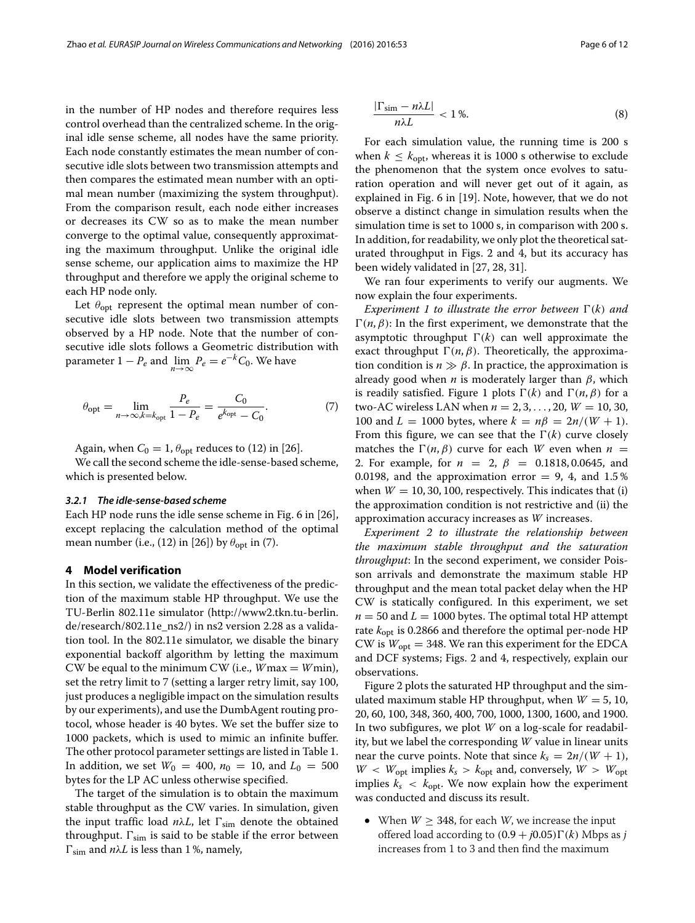in the number of HP nodes and therefore requires less control overhead than the centralized scheme. In the original idle sense scheme, all nodes have the same priority. Each node constantly estimates the mean number of consecutive idle slots between two transmission attempts and then compares the estimated mean number with an optimal mean number (maximizing the system throughput). From the comparison result, each node either increases or decreases its CW so as to make the mean number converge to the optimal value, consequently approximating the maximum throughput. Unlike the original idle sense scheme, our application aims to maximize the HP throughput and therefore we apply the original scheme to each HP node only.

Let  $\theta_{opt}$  represent the optimal mean number of consecutive idle slots between two transmission attempts observed by a HP node. Note that the number of consecutive idle slots follows a Geometric distribution with parameter  $1 - P_e$  and  $\lim_{n \to \infty} P_e = e^{-k} C_0$ . We have

$$
\theta_{\rm opt} = \lim_{n \to \infty, k = k_{\rm opt}} \frac{P_e}{1 - P_e} = \frac{C_0}{e^{k_{\rm opt}} - C_0}.
$$
 (7)

Again, when  $C_0 = 1$ ,  $\theta_{\text{opt}}$  reduces to (12) in [\[26\]](#page-11-2).

We call the second scheme the idle-sense-based scheme, which is presented below.

#### *3.2.1 The idle-sense-based scheme*

Each HP node runs the idle sense scheme in Fig. 6 in [\[26\]](#page-11-2), except replacing the calculation method of the optimal mean number (i.e., (12) in [\[26\]](#page-11-2)) by  $\theta_{opt}$  in [\(7\)](#page-5-1).

#### <span id="page-5-0"></span>**4 Model verification**

In this section, we validate the effectiveness of the prediction of the maximum stable HP throughput. We use the TU-Berlin 802.11e simulator [\(http://www2.tkn.tu-berlin.](http://www2.tkn.tu-berlin.de/research/802.11e_ns2/) [de/research/802.11e\\_ns2/\)](http://www2.tkn.tu-berlin.de/research/802.11e_ns2/) in ns2 version 2.28 as a validation tool. In the 802.11e simulator, we disable the binary exponential backoff algorithm by letting the maximum CW be equal to the minimum CW (i.e.,  $W$ max =  $W$ min), set the retry limit to 7 (setting a larger retry limit, say 100, just produces a negligible impact on the simulation results by our experiments), and use the DumbAgent routing protocol, whose header is 40 bytes. We set the buffer size to 1000 packets, which is used to mimic an infinite buffer. The other protocol parameter settings are listed in Table [1.](#page-2-2) In addition, we set  $W_0 = 400$ ,  $n_0 = 10$ , and  $L_0 = 500$ bytes for the LP AC unless otherwise specified.

The target of the simulation is to obtain the maximum stable throughput as the CW varies. In simulation, given the input traffic load  $n\lambda L$ , let  $\Gamma_{sim}$  denote the obtained throughput.  $\Gamma_{sim}$  is said to be stable if the error between  $\Gamma_{sim}$  and  $n\lambda L$  is less than 1%, namely,

$$
\frac{|\Gamma_{\text{sim}} - n\lambda L|}{n\lambda L} < 1\,\%.\tag{8}
$$

For each simulation value, the running time is 200 s when  $k < k_{\text{opt}}$ , whereas it is 1000 s otherwise to exclude the phenomenon that the system once evolves to saturation operation and will never get out of it again, as explained in Fig. 6 in [\[19\]](#page-10-9). Note, however, that we do not observe a distinct change in simulation results when the simulation time is set to 1000 s, in comparison with 200 s. In addition, for readability, we only plot the theoretical saturated throughput in Figs. [2](#page-4-0) and [4,](#page-7-0) but its accuracy has been widely validated in [\[27,](#page-11-3) [28,](#page-11-4) [31\]](#page-11-7).

We ran four experiments to verify our augments. We now explain the four experiments.

<span id="page-5-1"></span>*Experiment 1 to illustrate the error between*  $\Gamma(k)$  *and*  $\Gamma(n, \beta)$ : In the first experiment, we demonstrate that the asymptotic throughput  $\Gamma(k)$  can well approximate the exact throughput  $\Gamma(n, \beta)$ . Theoretically, the approximation condition is  $n \gg \beta$ . In practice, the approximation is already good when  $n$  is moderately larger than  $\beta$ , which is readily satisfied. Figure [1](#page-3-0) plots  $\Gamma(k)$  and  $\Gamma(n, \beta)$  for a two-AC wireless LAN when *n* = 2, 3, ... , 20, *W* = 10, 30, 100 and  $L = 1000$  bytes, where  $k = n\beta = 2n/(W + 1)$ . From this figure, we can see that the  $\Gamma(k)$  curve closely matches the  $\Gamma(n, \beta)$  curve for each *W* even when  $n =$ 2. For example, for *n* = 2, β = 0.1818, 0.0645, and 0.0198, and the approximation error  $= 9, 4$ , and 1.5% when  $W = 10, 30, 100$ , respectively. This indicates that (i) the approximation condition is not restrictive and (ii) the approximation accuracy increases as *W* increases.

*Experiment 2 to illustrate the relationship between the maximum stable throughput and the saturation throughput*: In the second experiment, we consider Poisson arrivals and demonstrate the maximum stable HP throughput and the mean total packet delay when the HP CW is statically configured. In this experiment, we set  $n = 50$  and  $L = 1000$  bytes. The optimal total HP attempt rate *k*opt is 0.2866 and therefore the optimal per-node HP CW is  $W_{opt} = 348$ . We ran this experiment for the EDCA and DCF systems; Figs. [2](#page-4-0) and [4,](#page-7-0) respectively, explain our observations.

Figure [2](#page-4-0) plots the saturated HP throughput and the simulated maximum stable HP throughput, when  $W = 5$ , 10, 20, 60, 100, 348, 360, 400, 700, 1000, 1300, 1600, and 1900. In two subfigures, we plot *W* on a log-scale for readability, but we label the corresponding *W* value in linear units near the curve points. Note that since  $k_s = 2n/(W + 1)$ ,  $W < W_{\text{opt}}$  implies  $k_s > k_{\text{opt}}$  and, conversely,  $W > W_{\text{opt}}$ implies  $k_s < k_{opt}$ . We now explain how the experiment was conducted and discuss its result.

<span id="page-5-2"></span>• When  $W > 348$ , for each *W*, we increase the input offered load according to  $(0.9 + i0.05)\Gamma(k)$  Mbps as *i* increases from 1 to 3 and then find the maximum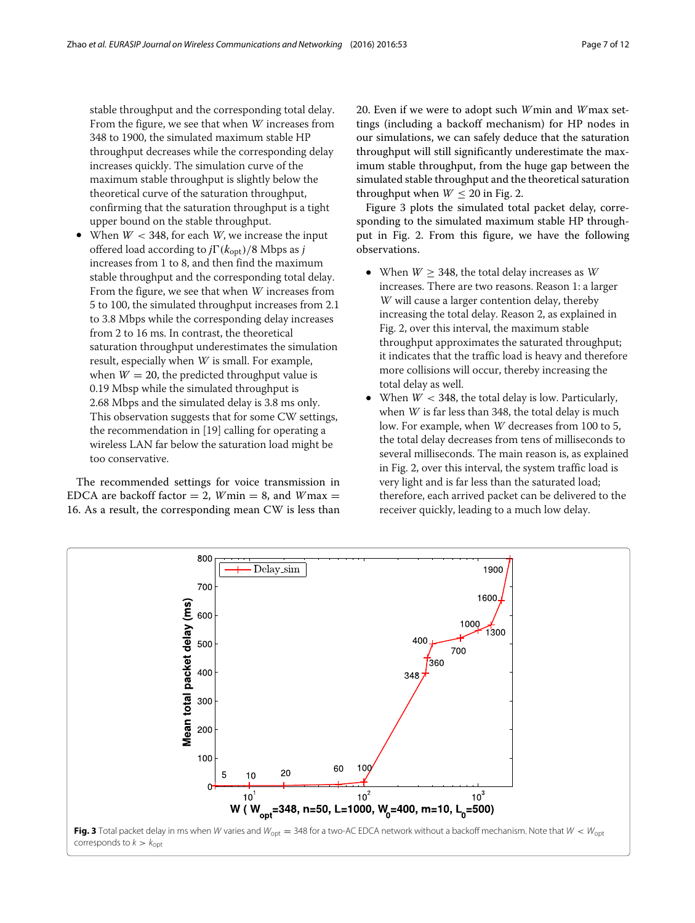stable throughput and the corresponding total delay. From the figure, we see that when <sup>W</sup> increases from 348 to 1900, the simulated maximum stable HP throughput decreases while the corresponding delay increases quickly. The simulation curve of the maximum stable throughput is slightly below the theoretical curve of the saturation throughput, confirming that the saturation throughput is a tight upper bound on the stable throughput.

When  $W < 348$ , for each *W*, we increase the input offered load according to  $j\Gamma(k_{\rm opt})/8$  Mbps as j increases from 1 to 8, and then find the maximum stable throughput and the corresponding total delay. From the figure, we see that when <sup>W</sup> increases from 5 to 100, the simulated throughput increases from 2.1 to 3.8 Mbps while the corresponding delay increases from 2 to 16 ms. In contrast, the theoretical saturation throughput underestimates the simulation result, especially when <sup>W</sup> is small. For example, when  $W = 20$ , the predicted throughput value is 0.19 Mbsp while the simulated throughput is 2.68 Mbps and the simulated delay is 3.8 ms only. This observation suggests that for some CW settings, the recommendation in [\[19\]](#page-10-9) calling for operating a wireless LAN far below the saturation load might be too conservative.

The recommended settings for voice transmission in EDCA are backoff factor  $= 2$ , *W* min  $= 8$ , and *W* max  $=$ 16. As a result, the corresponding mean CW is less than 20. Even if we were to adopt such *W*min and *W*max settings (including a backoff mechanism) for HP nodes in our simulations, we can safely deduce that the saturation throughput will still significantly underestimate the maximum stable throughput, from the huge gap between the simulated stable throughput and the theoretical saturation throughput when  $W < 20$  in Fig. [2.](#page-4-0)

Figure [3](#page-6-0) plots the simulated total packet delay, corresponding to the simulated maximum stable HP throughput in Fig. [2.](#page-4-0) From this figure, we have the following observations.

- When  $W \geq 348$ , the total delay increases as W increases. There are two reasons. Reason 1: a larger <sup>W</sup> will cause a larger contention delay, thereby increasing the total delay. Reason 2, as explained in Fig. [2,](#page-4-0) over this interval, the maximum stable throughput approximates the saturated throughput; it indicates that the traffic load is heavy and therefore more collisions will occur, thereby increasing the total delay as well.
- When  $W < 348$ , the total delay is low. Particularly, when <sup>W</sup> is far less than 348, the total delay is much low. For example, when <sup>W</sup> decreases from 100 to 5, the total delay decreases from tens of milliseconds to several milliseconds. The main reason is, as explained in Fig. [2,](#page-4-0) over this interval, the system traffic load is very light and is far less than the saturated load; therefore, each arrived packet can be delivered to the receiver quickly, leading to a much low delay.

<span id="page-6-0"></span>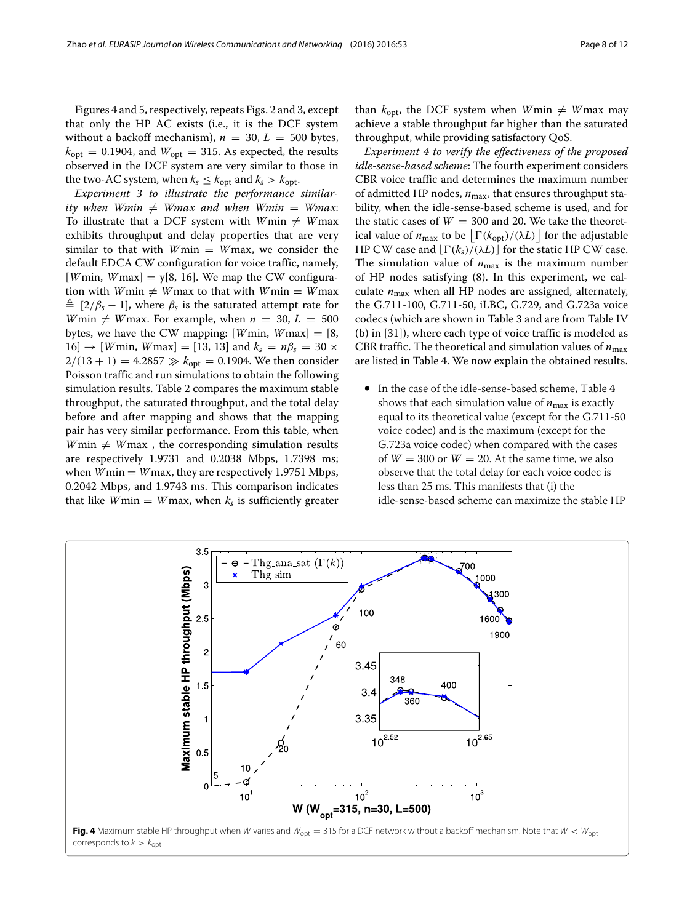Figures [4](#page-7-0) and [5,](#page-8-1) respectively, repeats Figs. [2](#page-4-0) and [3,](#page-6-0) except that only the HP AC exists (i.e., it is the DCF system without a backoff mechanism),  $n = 30$ ,  $L = 500$  bytes,  $k_{opt}$  = 0.1904, and  $W_{opt}$  = 315. As expected, the results observed in the DCF system are very similar to those in the two-AC system, when  $k_s \leq k_{\text{opt}}$  and  $k_s > k_{\text{opt}}$ .

*Experiment 3 to illustrate the performance similar* $ity$  when  $Wmin \neq Wmax$  and when  $Wmin = Wmax$ . To illustrate that a DCF system with  $W$ min  $\neq$   $W$ max exhibits throughput and delay properties that are very similar to that with *W*min = *W*max, we consider the default EDCA CW configuration for voice traffic, namely, [*W* min, *W* max] =  $y[8, 16]$ . We map the CW configura- $\lim_{n \to \infty} W$ min  $\neq W$ max to that with  $W$ min  $= W$ max  $\triangleq$  [2/ $\beta_s$  – 1], where  $\beta_s$  is the saturated attempt rate for *W* min  $\neq$  *W* max. For example, when  $n = 30$ ,  $L = 500$ bytes, we have the CW mapping:  $[Wmin, Wmax] = [8,$  $16$   $\rightarrow$  [*W* min, *W* max] = [13, 13] and  $k_s = n\beta_s = 30 \times$  $2/(13 + 1) = 4.2857 \gg k_{opt} = 0.1904$ . We then consider Poisson traffic and run simulations to obtain the following simulation results. Table [2](#page-8-2) compares the maximum stable throughput, the saturated throughput, and the total delay before and after mapping and shows that the mapping pair has very similar performance. From this table, when  $W$ min  $\neq$  *W* max, the corresponding simulation results are respectively 1.9731 and 0.2038 Mbps, 1.7398 ms; when  $W$ min  $=$   $W$ max, they are respectively 1.9751 Mbps, 0.2042 Mbps, and 1.9743 ms. This comparison indicates that like *W*min = *W*max, when  $k_s$  is sufficiently greater

than  $k_{\text{opt}}$ , the DCF system when  $W$ min  $\neq$   $W$ max may achieve a stable throughput far higher than the saturated throughput, while providing satisfactory QoS.

*Experiment 4 to verify the effectiveness of the proposed idle-sense-based scheme*: The fourth experiment considers CBR voice traffic and determines the maximum number of admitted HP nodes,  $n_{\text{max}}$ , that ensures throughput stability, when the idle-sense-based scheme is used, and for the static cases of  $W = 300$  and 20. We take the theoretical value of  $n_{\text{max}}$  to be  $\left \lfloor \Gamma(k_{\text{opt}})/(\lambda L) \right \rfloor$  for the adjustable HP CW case and  $\lfloor \Gamma(k_s)/(\lambda L) \rfloor$  for the static HP CW case. The simulation value of  $n_{\text{max}}$  is the maximum number of HP nodes satisfying [\(8\)](#page-5-2). In this experiment, we calculate  $n_{\text{max}}$  when all HP nodes are assigned, alternately, the G.711-100, G.711-50, iLBC, G.729, and G.723a voice codecs (which are shown in Table [3](#page-8-3) and are from Table IV (b) in [\[31\]](#page-11-7)), where each type of voice traffic is modeled as CBR traffic. The theoretical and simulation values of  $n_{\text{max}}$ are listed in Table [4.](#page-9-1) We now explain the obtained results.

• In the case of the idle-sense-based scheme, Table [4](#page-9-1) shows that each simulation value of  $n_{\text{max}}$  is exactly equal to its theoretical value (except for the G.711-50 voice codec) and is the maximum (except for the G.723a voice codec) when compared with the cases of  $W = 300$  or  $W = 20$ . At the same time, we also observe that the total delay for each voice codec is less than 25 ms. This manifests that (i) the idle-sense-based scheme can maximize the stable HP

<span id="page-7-0"></span>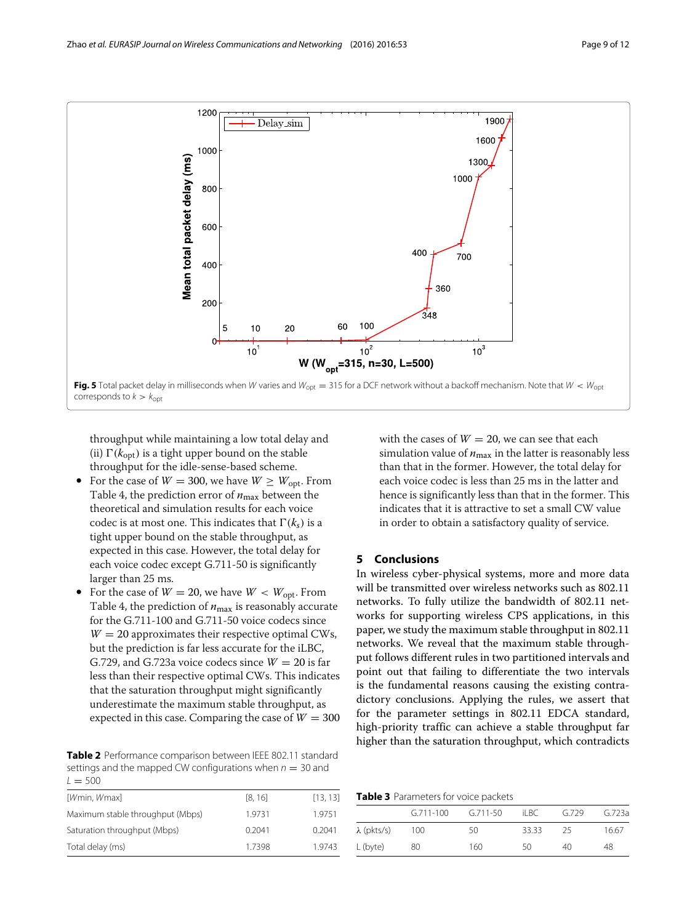

<span id="page-8-1"></span>throughput while maintaining a low total delay and (ii)  $\Gamma(k_{\text{opt}})$  is a tight upper bound on the stable throughput for the idle-sense-based scheme.

- For the case of  $W = 300$ , we have  $W \geq W_{\text{opt}}$ . From Table [4,](#page-9-1) the prediction error of  $n_{\text{max}}$  between the theoretical and simulation results for each voice codec is at most one. This indicates that  $\Gamma(k_s)$  is a tight upper bound on the stable throughput, as expected in this case. However, the total delay for each voice codec except G.711-50 is significantly larger than 25 ms.
- For the case of  $W = 20$ , we have  $W < W_{\text{opt}}$ . From Table [4,](#page-9-1) the prediction of  $n_{\text{max}}$  is reasonably accurate for the G.711-100 and G.711-50 voice codecs since  $W = 20$  approximates their respective optimal CWs, but the prediction is far less accurate for the iLBC, G.729, and G.723a voice codecs since  $W = 20$  is far less than their respective optimal CWs. This indicates that the saturation throughput might significantly underestimate the maximum stable throughput, as expected in this case. Comparing the case of  $W = 300$

<span id="page-8-2"></span>**Table 2** Performance comparison between IEEE 802.11 standard settings and the mapped CW configurations when  $n = 30$  and  $L = 500$ 

| [Wmin, Wmax]                     | [8, 16] | [13, 13] |
|----------------------------------|---------|----------|
| Maximum stable throughput (Mbps) | 1.9731  | 1.9751   |
| Saturation throughput (Mbps)     | 0.2041  | 0.2041   |
| Total delay (ms)                 | 1.7398  | 1.9743   |
|                                  |         |          |

with the cases of  $W = 20$ , we can see that each simulation value of  $n_{\text{max}}$  in the latter is reasonably less than that in the former. However, the total delay for each voice codec is less than 25 ms in the latter and hence is significantly less than that in the former. This indicates that it is attractive to set a small CW value in order to obtain a satisfactory quality of service.

### <span id="page-8-0"></span>**5 Conclusions**

In wireless cyber-physical systems, more and more data will be transmitted over wireless networks such as 802.11 networks. To fully utilize the bandwidth of 802.11 networks for supporting wireless CPS applications, in this paper, we study the maximum stable throughput in 802.11 networks. We reveal that the maximum stable throughput follows different rules in two partitioned intervals and point out that failing to differentiate the two intervals is the fundamental reasons causing the existing contradictory conclusions. Applying the rules, we assert that for the parameter settings in 802.11 EDCA standard, high-priority traffic can achieve a stable throughput far higher than the saturation throughput, which contradicts

**Table 3** Parameters for voice packets

<span id="page-8-3"></span>

|                    | $G.711 - 100$ | $G.711 - 50$ | il BC. | G.729 | G.723a |
|--------------------|---------------|--------------|--------|-------|--------|
| $\lambda$ (pkts/s) | 100           | 50           | 33.33  | 25    | 16.67  |
| L (byte)           | 80            | 160          | 50     | 40    | 48     |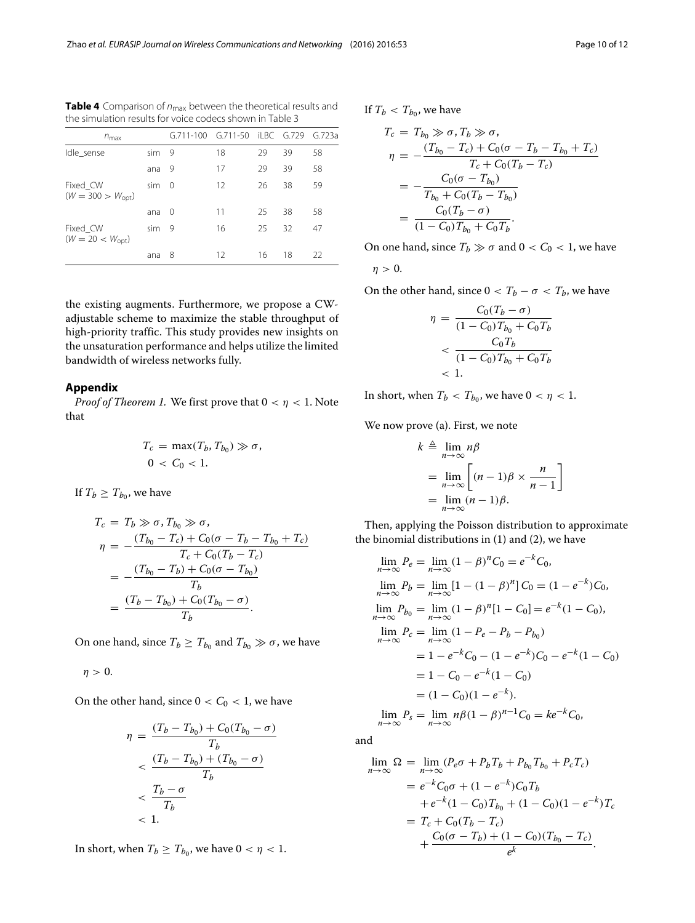| $n_{\text{max}}$                         |     | G.711-100 G.711-50 iLBC G.729 |    |    |    | G.723a |
|------------------------------------------|-----|-------------------------------|----|----|----|--------|
| Idle_sense<br>sim                        |     | 9                             | 18 | 29 | 39 | 58     |
|                                          | ana | 9                             | 17 | 29 | 39 | 58     |
| Fixed CW<br>$(W = 300 > W_{\text{opt}})$ | sim | $\Omega$                      | 12 | 26 | 38 | 59     |
|                                          | ana | 0                             | 11 | 25 | 38 | 58     |
| Fixed_CW<br>$(W = 20 < W_{\text{opt}})$  | sim | 9                             | 16 | 25 | 32 | 47     |
|                                          | ana | 8                             | 12 | 16 | 18 | 22     |

<span id="page-9-1"></span>Table 4 Comparison of  $n_{\text{max}}$  between the theoretical results and the simulation results for voice codecs shown in Table [3](#page-8-3)

the existing augments. Furthermore, we propose a CWadjustable scheme to maximize the stable throughput of high-priority traffic. This study provides new insights on the unsaturation performance and helps utilize the limited bandwidth of wireless networks fully.

### <span id="page-9-0"></span>**Appendix**

*Proof of Theorem [1.](#page-2-3)* We first prove that  $0 < \eta < 1$ . Note that

$$
T_c = \max(T_b, T_{b_0}) \gg \sigma,
$$
  

$$
0 < C_0 < 1.
$$

If  $T_b \geq T_{b_0}$ , we have

$$
T_c = T_b \gg \sigma, T_{b_0} \gg \sigma,
$$
  
\n
$$
\eta = -\frac{(T_{b_0} - T_c) + C_0(\sigma - T_b - T_{b_0} + T_c)}{T_c + C_0(T_b - T_c)}
$$
  
\n
$$
= -\frac{(T_{b_0} - T_b) + C_0(\sigma - T_{b_0})}{T_b}
$$
  
\n
$$
= \frac{(T_b - T_{b_0}) + C_0(T_{b_0} - \sigma)}{T_b}.
$$

On one hand, since  $T_b \geq T_{b_0}$  and  $T_{b_0} \gg \sigma$ , we have

$$
\eta>0.
$$

On the other hand, since  $0 < C_0 < 1$ , we have

$$
\eta = \frac{(T_b - T_{b_0}) + C_0(T_{b_0} - \sigma)}{T_b}
$$
  

$$
< \frac{(T_b - T_{b_0}) + (T_{b_0} - \sigma)}{T_b}
$$
  

$$
< \frac{T_b - \sigma}{T_b}
$$
  
<1.

In short, when  $T_b \geq T_{b_0}$ , we have  $0 < \eta < 1$ .

If  $T_b < T_{b_0}$ , we have

$$
T_c = T_{b_0} \gg \sigma, T_b \gg \sigma,
$$
  
\n
$$
\eta = -\frac{(T_{b_0} - T_c) + C_0(\sigma - T_b - T_{b_0} + T_c)}{T_c + C_0(T_b - T_c)}
$$
  
\n
$$
= -\frac{C_0(\sigma - T_{b_0})}{T_{b_0} + C_0(T_b - T_{b_0})}
$$
  
\n
$$
= \frac{C_0(T_b - \sigma)}{(1 - C_0)T_{b_0} + C_0T_b}.
$$

On one hand, since  $T_b \gg \sigma$  and  $0 < C_0 < 1$ , we have

$$
\eta > 0.
$$

On the other hand, since  $0 < T_b - \sigma < T_b$ , we have

$$
\eta = \frac{C_0(T_b - \sigma)}{(1 - C_0)T_{b_0} + C_0T_b}
$$
  
< 
$$
< \frac{C_0T_b}{(1 - C_0)T_{b_0} + C_0T_b}
$$
  
< 1.

In short, when  $T_b < T_{b_0}$ , we have  $0 < \eta < 1$ .

We now prove (a). First, we note

$$
k \triangleq \lim_{n \to \infty} n\beta
$$
  
= 
$$
\lim_{n \to \infty} \left[ (n-1)\beta \times \frac{n}{n-1} \right]
$$
  
= 
$$
\lim_{n \to \infty} (n-1)\beta.
$$

Then, applying the Poisson distribution to approximate the binomial distributions in [\(1\)](#page-2-1) and [\(2\)](#page-2-5), we have

$$
\lim_{n \to \infty} P_e = \lim_{n \to \infty} (1 - \beta)^n C_0 = e^{-k} C_0,
$$
  
\n
$$
\lim_{n \to \infty} P_b = \lim_{n \to \infty} [1 - (1 - \beta)^n] C_0 = (1 - e^{-k}) C_0,
$$
  
\n
$$
\lim_{n \to \infty} P_{b_0} = \lim_{n \to \infty} (1 - \beta)^n [1 - C_0] = e^{-k} (1 - C_0),
$$
  
\n
$$
\lim_{n \to \infty} P_c = \lim_{n \to \infty} (1 - P_e - P_b - P_{b_0})
$$
  
\n
$$
= 1 - e^{-k} C_0 - (1 - e^{-k}) C_0 - e^{-k} (1 - C_0)
$$
  
\n
$$
= 1 - C_0 - e^{-k} (1 - C_0)
$$
  
\n
$$
= (1 - C_0)(1 - e^{-k}).
$$
  
\n
$$
\lim_{n \to \infty} P_s = \lim_{n \to \infty} n\beta (1 - \beta)^{n-1} C_0 = k e^{-k} C_0,
$$

and

$$
\lim_{n \to \infty} \Omega = \lim_{n \to \infty} (P_e \sigma + P_b T_b + P_{b_0} T_{b_0} + P_c T_c)
$$
  
=  $e^{-k} C_0 \sigma + (1 - e^{-k}) C_0 T_b$   
+  $e^{-k} (1 - C_0) T_{b_0} + (1 - C_0) (1 - e^{-k}) T_c$   
=  $T_c + C_0 (T_b - T_c)$   
+  $\frac{C_0 (\sigma - T_b) + (1 - C_0) (T_{b_0} - T_c)}{e^k}$ .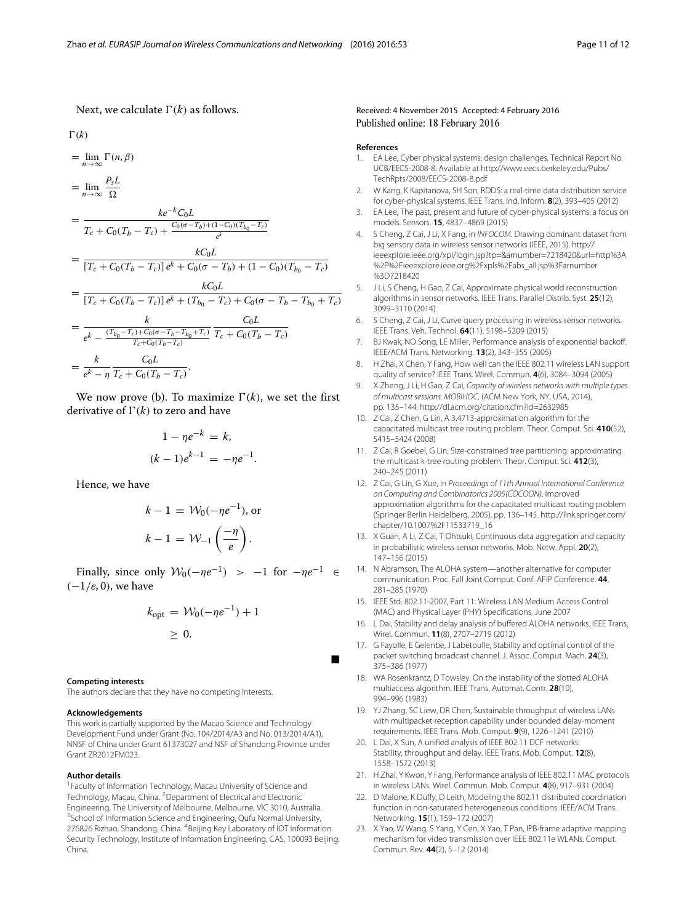Next, we calculate  $\Gamma(k)$  as follows.

$$
\Gamma(k)
$$

$$
= \lim_{n \to \infty} \Gamma(n, \beta)
$$

$$
= \lim_{n \to \infty} \frac{P_s L}{\Omega}
$$

$$
= \frac{ke^{-k} C_0 L}{\pi \left(1 - \frac{\pi}{\Omega}\right) \left(1 - \frac{C_0 (\sigma - T_h) + (1 - C_0)}{\Gamma}\right)}
$$

$$
T_c + C_0(T_b - T_c) + \frac{C_0(\sigma - T_b) + (1 - C_0)(T_{b_0} - T_c)}{e^k}
$$
  
= 
$$
\frac{kC_0L}{[T_c + C_0(T_b - T_c)]e^k + C_0(\sigma - T_b) + (1 - C_0)(T_{b_0} - T_c)}
$$

$$
= \frac{kC_0L}{[T_c + C_0(T_b - T_c)]e^k + (T_{b_0} - T_c) + C_0(\sigma - T_b - T_{b_0} + T_c)}
$$

$$
= \frac{k}{e^k - \frac{(T_{b_0} - T_c) + C_0(\sigma - T_b - T_{b_0} + T_c)}{T_c + C_0(T_b - T_c)}} \frac{C_0L}{T_c + C_0(T_b - T_c)}
$$

$$
= \frac{k}{e^k - \eta} \frac{C_0L}{T_c + C_0(T_b - T_c)}.
$$

We now prove (b). To maximize  $\Gamma(k)$ , we set the first derivative of  $\Gamma(k)$  to zero and have

$$
1 - \eta e^{-k} = k,
$$
  

$$
(k-1)e^{k-1} = -\eta e^{-1}.
$$

Hence, we have

$$
k - 1 = \mathcal{W}_0(-\eta e^{-1}), \text{ or}
$$

$$
k - 1 = \mathcal{W}_{-1}\left(\frac{-\eta}{e}\right).
$$

Finally, since only  $W_0(-\eta e^{-1}) > -1$  for  $-\eta e^{-1} \in$ (−1/*e*, 0), we have

$$
k_{\text{opt}} = \mathcal{W}_0(-\eta e^{-1}) + 1
$$
  

$$
\geq 0.
$$

Ξ

#### **Competing interests**

The authors declare that they have no competing interests.

#### **Acknowledgements**

This work is partially supported by the Macao Science and Technology Development Fund under Grant (No. 104/2014/A3 and No. 013/2014/A1), NNSF of China under Grant 61373027 and NSF of Shandong Province under Grant ZR2012FM023.

#### **Author details**

<sup>1</sup> Faculty of Information Technology, Macau University of Science and Technology, Macau, China. <sup>2</sup> Department of Electrical and Electronic Engineering, The University of Melbourne, Melbourne, VIC 3010, Australia. <sup>3</sup> School of Information Science and Engineering, Qufu Normal University, 276826 Rizhao, Shandong, China. <sup>4</sup>Beijing Key Laboratory of IOT Information Security Technology, Institute of Information Engineering, CAS, 100093 Beijing, China.

#### Received: 4 November 2015 Accepted: 4 February 2016 Published online: 18 February 2016

#### **References**

- <span id="page-10-0"></span>1. EA Lee, Cyber physical systems: design challenges, Technical Report No. UCB/EECS-2008-8. Available at [http://www.eecs.berkeley.edu/Pubs/](http://www.eecs.berkeley.edu/Pubs/TechRpts/2008/EECS-2008-8.pdf) [TechRpts/2008/EECS-2008-8.pdf](http://www.eecs.berkeley.edu/Pubs/TechRpts/2008/EECS-2008-8.pdf)
- 2. W Kang, K Kapitanova, SH Son, RDDS: a real-time data distribution service for cyber-physical systems. IEEE Trans. Ind. Inform. **8**(2), 393–405 (2012)
- 3. EA Lee, The past, present and future of cyber-physical systems: a focus on models. Sensors. **15**, 4837–4869 (2015)
- 4. S Cheng, Z Cai, J Li, X Fang, in INFOCOM. Drawing dominant dataset from big sensory data in wireless sensor networks (IEEE, 2015). [http://](http://ieeexplore.ieee.org/xpl/login.jsp?tp=&arnumber=7218420&url=http%3A%2F%2Fieeexplore.ieee.org%2Fxpls%2Fabs_all.jsp%3Farnumber%3D7218420) [ieeexplore.ieee.org/xpl/login.jsp?tp=&arnumber=7218420&url=http%3A](http://ieeexplore.ieee.org/xpl/login.jsp?tp=&arnumber=7218420&url=http%3A%2F%2Fieeexplore.ieee.org%2Fxpls%2Fabs_all.jsp%3Farnumber%3D7218420) [%2F%2Fieeexplore.ieee.org%2Fxpls%2Fabs\\_all.jsp%3Farnumber](http://ieeexplore.ieee.org/xpl/login.jsp?tp=&arnumber=7218420&url=http%3A%2F%2Fieeexplore.ieee.org%2Fxpls%2Fabs_all.jsp%3Farnumber%3D7218420) [%3D7218420](http://ieeexplore.ieee.org/xpl/login.jsp?tp=&arnumber=7218420&url=http%3A%2F%2Fieeexplore.ieee.org%2Fxpls%2Fabs_all.jsp%3Farnumber%3D7218420)
- 5. J Li, S Cheng, H Gao, Z Cai, Approximate physical world reconstruction algorithms in sensor networks. IEEE Trans. Parallel Distrib. Syst. **25**(12), 3099–3110 (2014)
- <span id="page-10-1"></span>6. S Cheng, Z Cai, J Li, Curve query processing in wireless sensor networks. IEEE Trans. Veh. Technol. **64**(11), 5198–5209 (2015)
- <span id="page-10-2"></span>7. BJ Kwak, NO Song, LE Miller, Performance analysis of exponential backoff. IEEE/ACM Trans. Networking. **13**(2), 343–355 (2005)
- <span id="page-10-7"></span>8. H Zhai, X Chen, Y Fang, How well can the IEEE 802.11 wireless LAN support quality of service? IEEE Trans. Wirel. Commun. **4**(6), 3084–3094 (2005)
- 9. X Zheng, J Li, H Gao, Z Cai, Capacity of wireless networks with multiple types of multicast sessions. MOBIHOC. (ACM New York, NY, USA, 2014), pp. 135–144.<http://dl.acm.org/citation.cfm?id=2632985>
- 10. Z Cai, Z Chen, G Lin, A 3.4713-approximation algorithm for the capacitated multicast tree routing problem. Theor. Comput. Sci. **410**(52), 5415–5424 (2008)
- 11. Z Cai, R Goebel, G Lin, Size-constrained tree partitioning: approximating the multicast k-tree routing problem. Theor. Comput. Sci. **412**(3), 240–245 (2011)
- 12. Z Cai, G Lin, G Xue, in Proceedings of 11th Annual International Conference on Computing and Combinatorics 2005(COCOON). Improved approximation algorithms for the capacitated multicast routing problem (Springer Berlin Heidelberg, 2005), pp. 136–145. [http://link.springer.com/](http://link.springer.com/chapter/10.1007%2F11533719_16) [chapter/10.1007%2F11533719\\_16](http://link.springer.com/chapter/10.1007%2F11533719_16)
- <span id="page-10-3"></span>13. X Guan, A Li, Z Cai, T Ohtsuki, Continuous data aggregation and capacity in probabilistic wireless sensor networks. Mob. Netw. Appl. **20**(2), 147–156 (2015)
- <span id="page-10-4"></span>14. N Abramson, The ALOHA system—another alternative for computer communication. Proc. Fall Joint Comput. Conf. AFIP Conference. **44**, 281–285 (1970)
- <span id="page-10-5"></span>15. IEEE Std. 802.11-2007, Part 11: Wireless LAN Medium Access Control (MAC) and Physical Layer (PHY) Specifications, June 2007
- <span id="page-10-6"></span>16. L Dai, Stability and delay analysis of buffered ALOHA networks. IEEE Trans. Wirel. Commun. **11**(8), 2707–2719 (2012)
- 17. G Fayolle, E Gelenbe, J Labetoulle, Stability and optimal control of the packet switching broadcast channel. J. Assoc. Comput. Mach. **24**(3), 375–386 (1977)
- 18. WA Rosenkrantz, D Towsley, On the instability of the slotted ALOHA multiaccess algorithm. IEEE Trans. Automat. Contr. **28**(10), 994–996 (1983)
- <span id="page-10-9"></span>19. YJ Zhang, SC Liew, DR Chen, Sustainable throughput of wireless LANs with multipacket reception capability under bounded delay-moment requirements. IEEE Trans. Mob. Comput. **9**(9), 1226–1241 (2010)
- <span id="page-10-8"></span>20. L Dai, X Sun, A unified analysis of IEEE 802.11 DCF networks: Stability, throughput and delay. IEEE Trans. Mob. Comput. **12**(8), 1558–1572 (2013)
- <span id="page-10-11"></span>21. H Zhai, Y Kwon, Y Fang, Performance analysis of IEEE 802.11 MAC protocols in wireless LANs. Wirel. Commun. Mob. Comput. **4**(8), 917–931 (2004)
- <span id="page-10-10"></span>22. D Malone, K Duffy, D Leith, Modeling the 802.11 distributed coordination function in non-saturated heterogeneous conditions. IEEE/ACM Trans. Networking. **15**(1), 159–172 (2007)
- <span id="page-10-12"></span>23. X Yao, W Wang, S Yang, Y Cen, X Yao, T Pan, IPB-frame adaptive mapping mechanism for video transmission over IEEE 802.11e WLANs. Comput. Commun. Rev. **44**(2), 5–12 (2014)